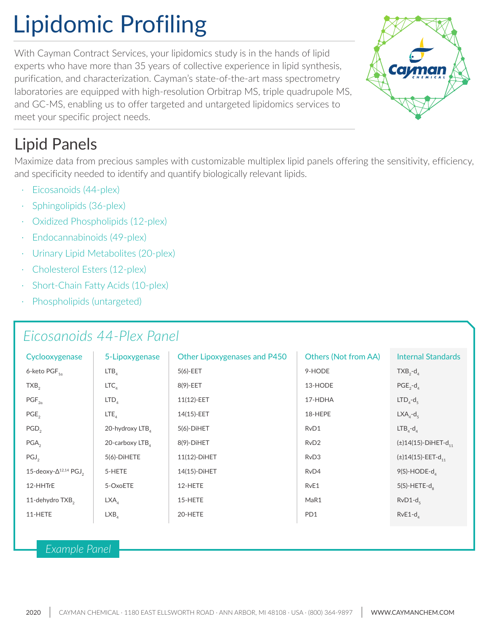# Lipidomic Profiling

With Cayman Contract Services, your lipidomics study is in the hands of lipid experts who have more than 35 years of collective experience in lipid synthesis, purification, and characterization. Cayman's state-of-the-art mass spectrometry laboratories are equipped with high-resolution Orbitrap MS, triple quadrupole MS, and GC-MS, enabling us to offer targeted and untargeted lipidomics services to meet your specific project needs.

# Lipid Panels

Maximize data from precious samples with customizable multiplex lipid panels offering the sensitivity, efficiency, and specificity needed to identify and quantify biologically relevant lipids.

- · Eicosanoids (44-plex)
- · Sphingolipids (36-plex)
- Oxidized Phospholipids (12-plex)
- Endocannabinoids (49-plex)
- · Urinary Lipid Metabolites (20-plex)
- · Cholesterol Esters (12-plex)
- Short-Chain Fatty Acids (10-plex)
- Phospholipids (untargeted)

### *Eicosanoids 44-Plex Panel*

| Cyclooxygenase                              | 5-Lipoxygenase   | Other Lipoxygenases and P450 | <b>Others (Not from AA)</b> | <b>Internal Standards</b>            |
|---------------------------------------------|------------------|------------------------------|-----------------------------|--------------------------------------|
| 6-keto PGF <sub>10</sub>                    | LTB <sub>A</sub> | $5(6)$ -EET                  | 9-HODE                      | $TXB, -d$                            |
| TXB <sub>2</sub>                            | LTC <sub>A</sub> | 8(9)-EET                     | 13-HODE                     | $PGE_{2} - d_{4}$                    |
| $PGF_{2a}$                                  | LTD <sub>A</sub> | 11(12)-EET                   | 17-HDHA                     | $LTDa-d5$                            |
| $PGE$ <sub>2</sub>                          | $LTE_{A}$        | 14(15)-EET                   | 18-HEPE                     | $LXA_{a} - d_{5}$                    |
| PGD <sub>2</sub>                            | 20-hydroxy LTB   | $5(6)$ -DiHET                | RvD1                        | $LTB4-d4$                            |
| $PGA$ <sub>2</sub>                          | 20-carboxy LTB   | $8(9)$ -DiHET                | RvD <sub>2</sub>            | $(\pm)14(15)$ -DiHET-d <sub>11</sub> |
| $PGJ_{2}$                                   | 5(6)-DIHETE      | 11(12)-DiHET                 | RvD3                        | $(\pm)$ 14(15)-EET-d <sub>11</sub>   |
| 15-deoxy- $\Delta^{12,14}$ PGJ <sub>2</sub> | 5-HETE           | 14(15)-DiHET                 | RvD4                        | $9(S)-HODE-d_A$                      |
| 12-HHTrE                                    | 5-OxoETE         | 12-HETE                      | RvE1                        | $5(S)$ -HETE- $d_g$                  |
| 11-dehydro TXB <sub>2</sub>                 | LXA <sub>A</sub> | 15-HETE                      | MaR1                        | $RvD1-d5$                            |
| 11-HETE                                     | LXB <sub>4</sub> | 20-HETE                      | PD1                         | $RvE1-d$ <sub>4</sub>                |

#### *Example Panel*